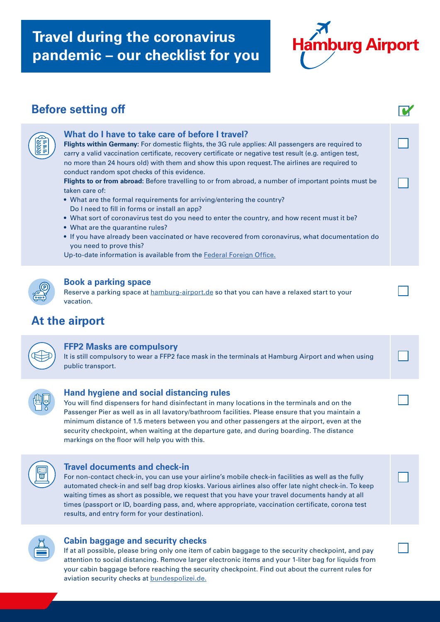## **Travel during the coronavirus pandemic – our checklist for you**



| <b>Before setting off</b> |                                                                                                                                                                                                                                                                                                                                                                                                                                                                                                                                                                                                                                                                                                                                                                                                                                                                                                                                                                                                                |  |
|---------------------------|----------------------------------------------------------------------------------------------------------------------------------------------------------------------------------------------------------------------------------------------------------------------------------------------------------------------------------------------------------------------------------------------------------------------------------------------------------------------------------------------------------------------------------------------------------------------------------------------------------------------------------------------------------------------------------------------------------------------------------------------------------------------------------------------------------------------------------------------------------------------------------------------------------------------------------------------------------------------------------------------------------------|--|
|                           | What do I have to take care of before I travel?<br>Flights within Germany: For domestic flights, the 3G rule applies: All passengers are required to<br>carry a valid vaccination certificate, recovery certificate or negative test result (e.g. antigen test,<br>no more than 24 hours old) with them and show this upon request. The airlines are required to<br>conduct random spot checks of this evidence.<br>Flights to or from abroad: Before travelling to or from abroad, a number of important points must be<br>taken care of:<br>• What are the formal requirements for arriving/entering the country?<br>Do I need to fill in forms or install an app?<br>. What sort of coronavirus test do you need to enter the country, and how recent must it be?<br>• What are the quarantine rules?<br>. If you have already been vaccinated or have recovered from coronavirus, what documentation do<br>you need to prove this?<br>Up-to-date information is available from the Federal Foreign Office. |  |
|                           | <b>Book a parking space</b><br>Reserve a parking space at hamburg-airport.de so that you can have a relaxed start to your<br>vacation.<br>At the airport                                                                                                                                                                                                                                                                                                                                                                                                                                                                                                                                                                                                                                                                                                                                                                                                                                                       |  |
|                           | <b>FFP2 Masks are compulsory</b><br>It is still compulsory to wear a FFP2 face mask in the terminals at Hamburg Airport and when using<br>public transport.                                                                                                                                                                                                                                                                                                                                                                                                                                                                                                                                                                                                                                                                                                                                                                                                                                                    |  |
|                           | Hand hygiene and social distancing rules<br>You will find dispensers for hand disinfectant in many locations in the terminals and on the<br>Passenger Pier as well as in all lavatory/bathroom facilities. Please ensure that you maintain a<br>minimum distance of 1.5 meters between you and other passengers at the airport, even at the<br>security checkpoint, when waiting at the departure gate, and during boarding. The distance<br>markings on the floor will help you with this.                                                                                                                                                                                                                                                                                                                                                                                                                                                                                                                    |  |
|                           | <b>Travel documents and check-in</b><br>For non-contact check-in, you can use your airline's mobile check-in facilities as well as the fully<br>automated check-in and self bag drop kiosks. Various airlines also offer late night check-in. To keep<br>waiting times as short as possible, we request that you have your travel documents handy at all<br>times (passport or ID, boarding pass, and, where appropriate, vaccination certificate, corona test<br>results, and entry form for your destination).                                                                                                                                                                                                                                                                                                                                                                                                                                                                                               |  |
|                           | <b>Cabin baggage and security checks</b><br>If at all possible, please bring only one item of cabin baggage to the security checkpoint, and pay                                                                                                                                                                                                                                                                                                                                                                                                                                                                                                                                                                                                                                                                                                                                                                                                                                                                |  |

## attention to social distancing. Remove larger electronic items and your 1-liter bag for liquids from your cabin baggage before reaching the security checkpoint. Find out about the current rules for aviation security checks at [bundespolizei.de.](https://www.bundespolizei.de/Web/DE/_Home/home_node.html)